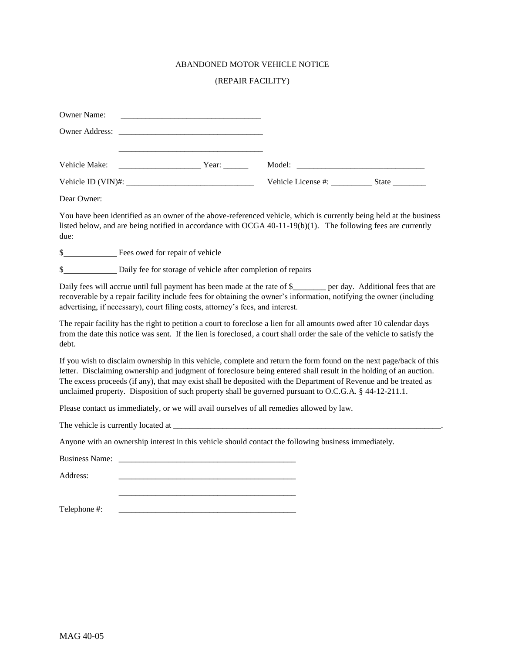## ABANDONED MOTOR VEHICLE NOTICE

## (REPAIR FACILITY)

| <b>Owner Name:</b><br><u> 1989 - Johann John Stein, meil am der Stein am der Stein am der Stein am der Stein am der Stein am der Stein</u> |                          |  |
|--------------------------------------------------------------------------------------------------------------------------------------------|--------------------------|--|
|                                                                                                                                            |                          |  |
|                                                                                                                                            |                          |  |
| Vehicle Make:<br><b>Example 18</b> Year:                                                                                                   |                          |  |
|                                                                                                                                            | Vehicle License #: State |  |
| Dear Owner:                                                                                                                                |                          |  |

You have been identified as an owner of the above-referenced vehicle, which is currently being held at the business listed below, and are being notified in accordance with OCGA 40-11-19(b)(1). The following fees are currently due:

\$

\$ Daily fee for storage of vehicle after completion of repairs

Daily fees will accrue until full payment has been made at the rate of \$ per day. Additional fees that are recoverable by a repair facility include fees for obtaining the owner's information, notifying the owner (including advertising, if necessary), court filing costs, attorney's fees, and interest.

The repair facility has the right to petition a court to foreclose a lien for all amounts owed after 10 calendar days from the date this notice was sent. If the lien is foreclosed, a court shall order the sale of the vehicle to satisfy the debt.

If you wish to disclaim ownership in this vehicle, complete and return the form found on the next page/back of this letter. Disclaiming ownership and judgment of foreclosure being entered shall result in the holding of an auction. The excess proceeds (if any), that may exist shall be deposited with the Department of Revenue and be treated as unclaimed property. Disposition of such property shall be governed pursuant to O.C.G.A. § 44-12-211.1.

Please contact us immediately, or we will avail ourselves of all remedies allowed by law.

\_\_\_\_\_\_\_\_\_\_\_\_\_\_\_\_\_\_\_\_\_\_\_\_\_\_\_\_\_\_\_\_\_\_\_\_\_\_\_\_\_\_\_

The vehicle is currently located at \_\_\_\_\_\_\_\_\_\_\_\_\_\_\_\_\_\_\_\_\_\_\_\_\_\_\_\_\_\_\_\_\_\_\_\_\_\_\_\_\_\_\_\_\_\_\_\_\_\_\_\_\_\_\_\_\_\_\_\_\_\_\_\_\_.

Anyone with an ownership interest in this vehicle should contact the following business immediately.

Business Name:

Address: \_\_\_\_\_\_\_\_\_\_\_\_\_\_\_\_\_\_\_\_\_\_\_\_\_\_\_\_\_\_\_\_\_\_\_\_\_\_\_\_\_\_\_

Telephone #: